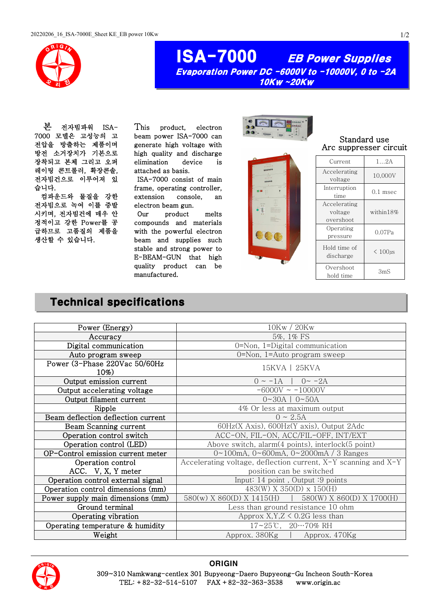

## ISA-7000 EB Power Supplies Evaporation Power DC -6000V to -10000V, 0 to -2A 10Kw ~20Kw

본 전자빔파워 ISA-7000 모델은 고성능의 고 전압을 방출하는 제품이며 방전 소거장치가 기본으로 장착되고 본체 그리고 오퍼 레이팅 콘트롤러, 확장콘솔, 전자빔건으로 이루어져 있 습니다.

컴파운드와 물질을 강한 전자빔으로 녹여 이를 증발 시키며, 전자빔건에 매우 안 정적이고 강한 Power를 공 급하므로 고품질의 제품을 생산할 수 있습니다.

This product, electron beam power ISA-7000 can generate high voltage with high quality and discharge elimination device is attached as basis.

 ISA-7000 consist of main frame, operating controller, extension console, an electron beam gun.

Our product melts compounds and materials with the powerful electron beam and supplies such stable and strong power to E-BEAM-GUN that high quality product can be manufactured.



Standard use Arc suppresser circuit

| Current                              | $1 \ldots 2A$ |
|--------------------------------------|---------------|
| Accelerating<br>voltage              | 10,000V       |
| Interruption<br>time                 | $0.1$ msec    |
| Accelerating<br>voltage<br>overshoot | within18%     |
| Operating<br>pressure                | 0.07Pa        |
| Hold time of<br>discharge            | $< 100 \mu s$ |
| Overshoot<br>hold time               | 3mS           |

## Technical specifications

| Power (Energy)                       | 10Kw / 20Kw                                                              |  |  |
|--------------------------------------|--------------------------------------------------------------------------|--|--|
| Accuracy                             | 5%, 1% FS                                                                |  |  |
| Digital communication                | 0=Non, 1=Digital communication                                           |  |  |
| Auto program sweep                   | 0=Non, 1=Auto program sweep                                              |  |  |
| Power (3-Phase 220Vac 50/60Hz<br>10% | 15KVA   25KVA                                                            |  |  |
| Output emission current              | $0 \sim -1$ A   $0 \sim -2$ A                                            |  |  |
| Output accelerating voltage          | $-6000V \sim -10000V$                                                    |  |  |
| Output filament current              | $0 - 30A$   $0 - 50A$                                                    |  |  |
| Ripple                               | 4% Or less at maximum output                                             |  |  |
| Beam deflection deflection current   | $0 \sim 2.5A$                                                            |  |  |
| Beam Scanning current                | 60Hz(X Axis), 600Hz(Y axis), Output 2Adc                                 |  |  |
| Operation control switch             | ACC-ON, FIL-ON, ACC/FIL-OFF, INT/EXT                                     |  |  |
| Operation control (LED)              | Above switch, alarm $(4 \text{ points})$ , interlock $(5 \text{ point})$ |  |  |
| OP-Control emission current meter    | $0 \sim 100$ mA, $0 \sim 600$ mA, $0 \sim 2000$ mA / 3 Ranges            |  |  |
| Operation control                    | Accelerating voltage, deflection current, $X-Y$ scanning and $X-Y$       |  |  |
| ACC. V, X, Y meter                   | position can be switched                                                 |  |  |
| Operation control external signal    | Input: 14 point, Output: 9 points                                        |  |  |
| Operation control dimensions (mm)    | $483(W)$ X 350(D) x 150(H)                                               |  |  |
| Power supply main dimensions (mm)    | $580(w)$ X $860(D)$ X $1415(H)$<br>580(W) X 860(D) X 1700(H)             |  |  |
| Ground terminal                      | Less than ground resistance 10 ohm                                       |  |  |
| Operating vibration                  | Approx $X, Y, Z \leq 0.2G$ less than                                     |  |  |
| Operating temperature & humidity     | $17 - 25$ °C, $20 - 70\%$ RH                                             |  |  |
| Weight                               | Approx. 380Kg   Approx. 470Kg                                            |  |  |
|                                      |                                                                          |  |  |